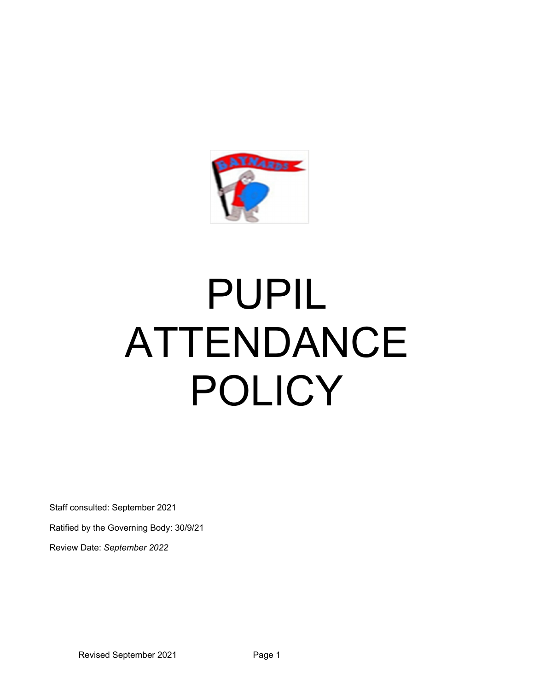

# PUPIL ATTENDANCE POLICY

Staff consulted: September 2021

Ratified by the Governing Body: 30/9/21

Review Date: *September 2022*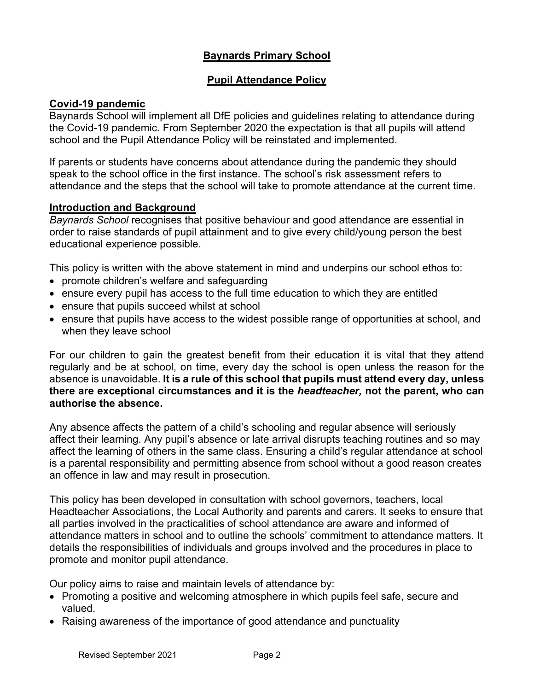## **Baynards Primary School**

## **Pupil Attendance Policy**

## **Covid-19 pandemic**

Baynards School will implement all DfE policies and guidelines relating to attendance during the Covid-19 pandemic. From September 2020 the expectation is that all pupils will attend school and the Pupil Attendance Policy will be reinstated and implemented.

If parents or students have concerns about attendance during the pandemic they should speak to the school office in the first instance. The school's risk assessment refers to attendance and the steps that the school will take to promote attendance at the current time.

## **Introduction and Background**

*Baynards School* recognises that positive behaviour and good attendance are essential in order to raise standards of pupil attainment and to give every child/young person the best educational experience possible.

This policy is written with the above statement in mind and underpins our school ethos to:

- promote children's welfare and safeguarding
- ensure every pupil has access to the full time education to which they are entitled
- ensure that pupils succeed whilst at school
- ensure that pupils have access to the widest possible range of opportunities at school, and when they leave school

For our children to gain the greatest benefit from their education it is vital that they attend regularly and be at school, on time, every day the school is open unless the reason for the absence is unavoidable. **It is a rule of this school that pupils must attend every day, unless there are exceptional circumstances and it is the** *headteacher,* **not the parent, who can authorise the absence.** 

Any absence affects the pattern of a child's schooling and regular absence will seriously affect their learning. Any pupil's absence or late arrival disrupts teaching routines and so may affect the learning of others in the same class. Ensuring a child's regular attendance at school is a parental responsibility and permitting absence from school without a good reason creates an offence in law and may result in prosecution.

This policy has been developed in consultation with school governors, teachers, local Headteacher Associations, the Local Authority and parents and carers. It seeks to ensure that all parties involved in the practicalities of school attendance are aware and informed of attendance matters in school and to outline the schools' commitment to attendance matters. It details the responsibilities of individuals and groups involved and the procedures in place to promote and monitor pupil attendance.

Our policy aims to raise and maintain levels of attendance by:

- Promoting a positive and welcoming atmosphere in which pupils feel safe, secure and valued.
- Raising awareness of the importance of good attendance and punctuality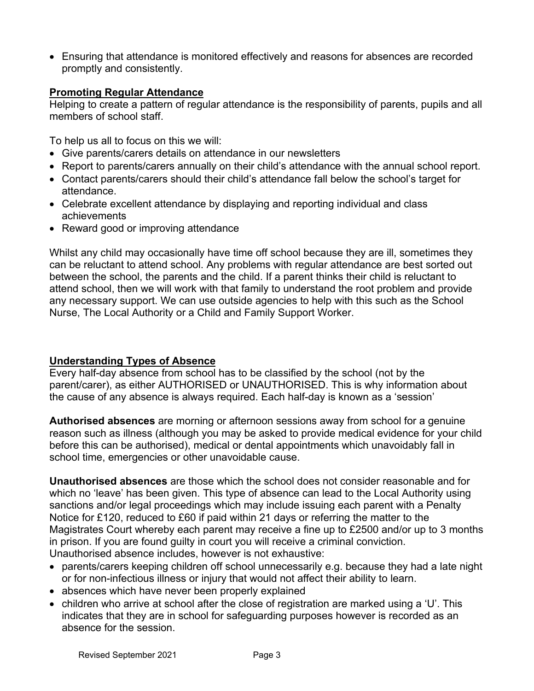Ensuring that attendance is monitored effectively and reasons for absences are recorded promptly and consistently.

## **Promoting Regular Attendance**

Helping to create a pattern of regular attendance is the responsibility of parents, pupils and all members of school staff.

To help us all to focus on this we will:

- Give parents/carers details on attendance in our newsletters
- Report to parents/carers annually on their child's attendance with the annual school report.
- Contact parents/carers should their child's attendance fall below the school's target for attendance.
- Celebrate excellent attendance by displaying and reporting individual and class achievements
- Reward good or improving attendance

Whilst any child may occasionally have time off school because they are ill, sometimes they can be reluctant to attend school. Any problems with regular attendance are best sorted out between the school, the parents and the child. If a parent thinks their child is reluctant to attend school, then we will work with that family to understand the root problem and provide any necessary support. We can use outside agencies to help with this such as the School Nurse, The Local Authority or a Child and Family Support Worker.

## **Understanding Types of Absence**

Every half-day absence from school has to be classified by the school (not by the parent/carer), as either AUTHORISED or UNAUTHORISED. This is why information about the cause of any absence is always required. Each half-day is known as a 'session'

**Authorised absences** are morning or afternoon sessions away from school for a genuine reason such as illness (although you may be asked to provide medical evidence for your child before this can be authorised), medical or dental appointments which unavoidably fall in school time, emergencies or other unavoidable cause.

**Unauthorised absences** are those which the school does not consider reasonable and for which no 'leave' has been given. This type of absence can lead to the Local Authority using sanctions and/or legal proceedings which may include issuing each parent with a Penalty Notice for £120, reduced to £60 if paid within 21 days or referring the matter to the Magistrates Court whereby each parent may receive a fine up to £2500 and/or up to 3 months in prison. If you are found guilty in court you will receive a criminal conviction. Unauthorised absence includes, however is not exhaustive:

- parents/carers keeping children off school unnecessarily e.g. because they had a late night or for non-infectious illness or injury that would not affect their ability to learn.
- absences which have never been properly explained
- children who arrive at school after the close of registration are marked using a 'U'. This indicates that they are in school for safeguarding purposes however is recorded as an absence for the session.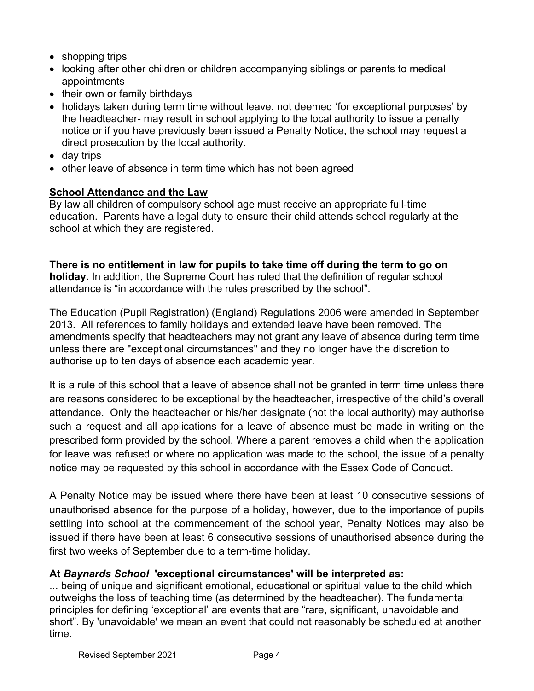- shopping trips
- looking after other children or children accompanying siblings or parents to medical appointments
- their own or family birthdays
- holidays taken during term time without leave, not deemed 'for exceptional purposes' by the headteacher- may result in school applying to the local authority to issue a penalty notice or if you have previously been issued a Penalty Notice, the school may request a direct prosecution by the local authority.
- day trips
- other leave of absence in term time which has not been agreed

## **School Attendance and the Law**

By law all children of compulsory school age must receive an appropriate full-time education. Parents have a legal duty to ensure their child attends school regularly at the school at which they are registered.

**There is no entitlement in law for pupils to take time off during the term to go on holiday.** In addition, the Supreme Court has ruled that the definition of regular school attendance is "in accordance with the rules prescribed by the school".

The Education (Pupil Registration) (England) Regulations 2006 were amended in September 2013. All references to family holidays and extended leave have been removed. The amendments specify that headteachers may not grant any leave of absence during term time unless there are "exceptional circumstances" and they no longer have the discretion to authorise up to ten days of absence each academic year.

It is a rule of this school that a leave of absence shall not be granted in term time unless there are reasons considered to be exceptional by the headteacher, irrespective of the child's overall attendance. Only the headteacher or his/her designate (not the local authority) may authorise such a request and all applications for a leave of absence must be made in writing on the prescribed form provided by the school. Where a parent removes a child when the application for leave was refused or where no application was made to the school, the issue of a penalty notice may be requested by this school in accordance with the Essex Code of Conduct.

A Penalty Notice may be issued where there have been at least 10 consecutive sessions of unauthorised absence for the purpose of a holiday, however, due to the importance of pupils settling into school at the commencement of the school year, Penalty Notices may also be issued if there have been at least 6 consecutive sessions of unauthorised absence during the first two weeks of September due to a term-time holiday.

## **At** *Baynards School* **'exceptional circumstances' will be interpreted as:**

... being of unique and significant emotional, educational or spiritual value to the child which outweighs the loss of teaching time (as determined by the headteacher). The fundamental principles for defining 'exceptional' are events that are "rare, significant, unavoidable and short". By 'unavoidable' we mean an event that could not reasonably be scheduled at another time.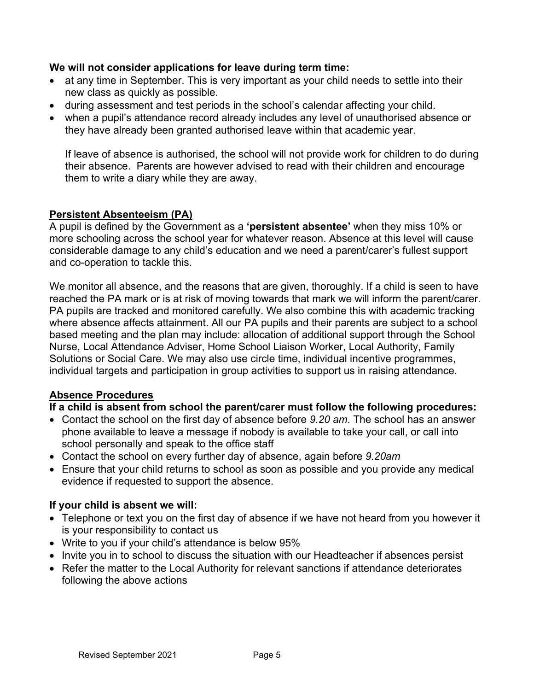## **We will not consider applications for leave during term time:**

- at any time in September. This is very important as your child needs to settle into their new class as quickly as possible.
- during assessment and test periods in the school's calendar affecting your child.
- when a pupil's attendance record already includes any level of unauthorised absence or they have already been granted authorised leave within that academic year.

If leave of absence is authorised, the school will not provide work for children to do during their absence. Parents are however advised to read with their children and encourage them to write a diary while they are away.

## **Persistent Absenteeism (PA)**

A pupil is defined by the Government as a **'persistent absentee'** when they miss 10% or more schooling across the school year for whatever reason. Absence at this level will cause considerable damage to any child's education and we need a parent/carer's fullest support and co-operation to tackle this.

We monitor all absence, and the reasons that are given, thoroughly. If a child is seen to have reached the PA mark or is at risk of moving towards that mark we will inform the parent/carer. PA pupils are tracked and monitored carefully. We also combine this with academic tracking where absence affects attainment. All our PA pupils and their parents are subject to a school based meeting and the plan may include: allocation of additional support through the School Nurse, Local Attendance Adviser, Home School Liaison Worker, Local Authority, Family Solutions or Social Care. We may also use circle time, individual incentive programmes, individual targets and participation in group activities to support us in raising attendance.

#### **Absence Procedures**

## **If a child is absent from school the parent/carer must follow the following procedures:**

- Contact the school on the first day of absence before *9.20 am*. The school has an answer phone available to leave a message if nobody is available to take your call, or call into school personally and speak to the office staff
- Contact the school on every further day of absence, again before *9.20am*
- Ensure that your child returns to school as soon as possible and you provide any medical evidence if requested to support the absence.

#### **If your child is absent we will:**

- Telephone or text you on the first day of absence if we have not heard from you however it is your responsibility to contact us
- Write to you if your child's attendance is below 95%
- Invite you in to school to discuss the situation with our Headteacher if absences persist
- Refer the matter to the Local Authority for relevant sanctions if attendance deteriorates following the above actions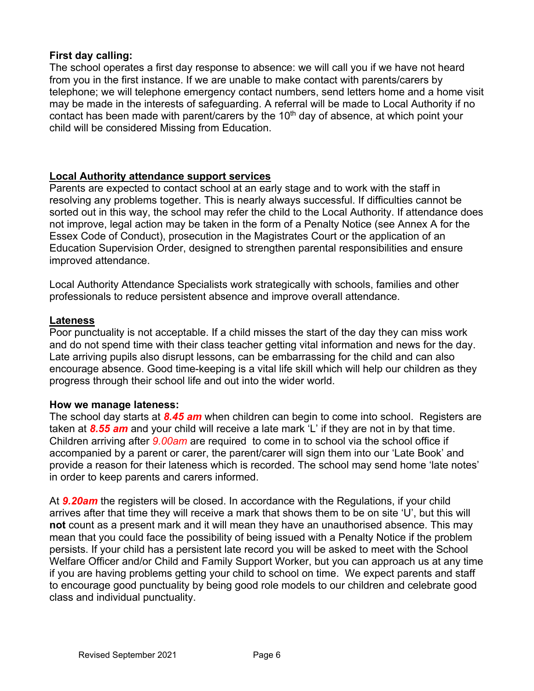## **First day calling:**

The school operates a first day response to absence: we will call you if we have not heard from you in the first instance. If we are unable to make contact with parents/carers by telephone; we will telephone emergency contact numbers, send letters home and a home visit may be made in the interests of safeguarding. A referral will be made to Local Authority if no contact has been made with parent/carers by the  $10<sup>th</sup>$  day of absence, at which point your child will be considered Missing from Education.

## **Local Authority attendance support services**

Parents are expected to contact school at an early stage and to work with the staff in resolving any problems together. This is nearly always successful. If difficulties cannot be sorted out in this way, the school may refer the child to the Local Authority. If attendance does not improve, legal action may be taken in the form of a Penalty Notice (see Annex A for the Essex Code of Conduct), prosecution in the Magistrates Court or the application of an Education Supervision Order, designed to strengthen parental responsibilities and ensure improved attendance.

Local Authority Attendance Specialists work strategically with schools, families and other professionals to reduce persistent absence and improve overall attendance.

#### **Lateness**

Poor punctuality is not acceptable. If a child misses the start of the day they can miss work and do not spend time with their class teacher getting vital information and news for the day. Late arriving pupils also disrupt lessons, can be embarrassing for the child and can also encourage absence. Good time-keeping is a vital life skill which will help our children as they progress through their school life and out into the wider world.

#### **How we manage lateness:**

The school day starts at *8.45 am* when children can begin to come into school. Registers are taken at *8.55 am* and your child will receive a late mark 'L' if they are not in by that time. Children arriving after *9.00am* are required to come in to school via the school office if accompanied by a parent or carer, the parent/carer will sign them into our 'Late Book' and provide a reason for their lateness which is recorded. The school may send home 'late notes' in order to keep parents and carers informed.

At *9.20am* the registers will be closed. In accordance with the Regulations, if your child arrives after that time they will receive a mark that shows them to be on site 'U', but this will **not** count as a present mark and it will mean they have an unauthorised absence. This may mean that you could face the possibility of being issued with a Penalty Notice if the problem persists. If your child has a persistent late record you will be asked to meet with the School Welfare Officer and/or Child and Family Support Worker, but you can approach us at any time if you are having problems getting your child to school on time. We expect parents and staff to encourage good punctuality by being good role models to our children and celebrate good class and individual punctuality.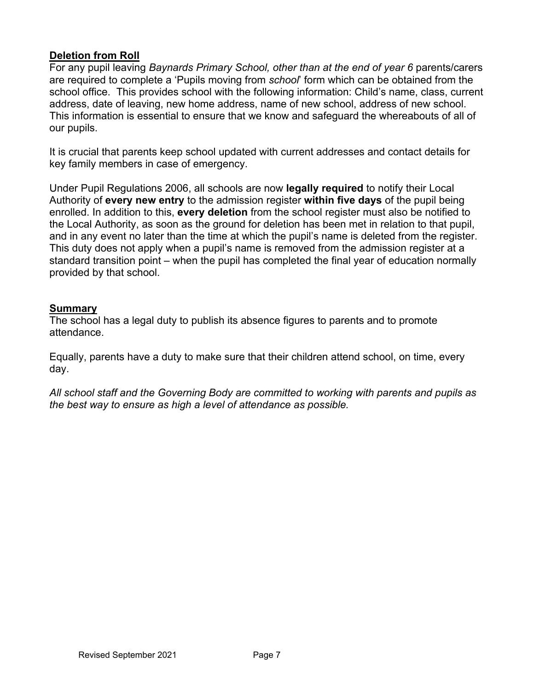## **Deletion from Roll**

For any pupil leaving *Baynards Primary School, other than at the end of year 6* parents/carers are required to complete a 'Pupils moving from *school*' form which can be obtained from the school office. This provides school with the following information: Child's name, class, current address, date of leaving, new home address, name of new school, address of new school. This information is essential to ensure that we know and safeguard the whereabouts of all of our pupils.

It is crucial that parents keep school updated with current addresses and contact details for key family members in case of emergency.

Under Pupil Regulations 2006, all schools are now **legally required** to notify their Local Authority of **every new entry** to the admission register **within five days** of the pupil being enrolled. In addition to this, **every deletion** from the school register must also be notified to the Local Authority, as soon as the ground for deletion has been met in relation to that pupil, and in any event no later than the time at which the pupil's name is deleted from the register. This duty does not apply when a pupil's name is removed from the admission register at a standard transition point – when the pupil has completed the final year of education normally provided by that school.

## **Summary**

The school has a legal duty to publish its absence figures to parents and to promote attendance.

Equally, parents have a duty to make sure that their children attend school, on time, every day.

*All school staff and the Governing Body are committed to working with parents and pupils as the best way to ensure as high a level of attendance as possible.*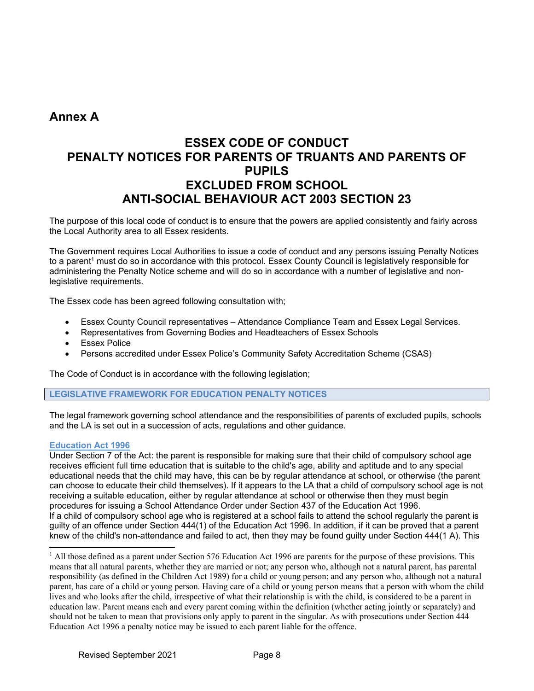## **Annex A**

# **ESSEX CODE OF CONDUCT PENALTY NOTICES FOR PARENTS OF TRUANTS AND PARENTS OF PUPILS EXCLUDED FROM SCHOOL ANTI-SOCIAL BEHAVIOUR ACT 2003 SECTION 23**

The purpose of this local code of conduct is to ensure that the powers are applied consistently and fairly across the Local Authority area to all Essex residents.

The Government requires Local Authorities to issue a code of conduct and any persons issuing Penalty Notices to a parent<sup>1</sup> must do so in accordance with this protocol. Essex County Council is legislatively responsible for administering the Penalty Notice scheme and will do so in accordance with a number of legislative and nonlegislative requirements.

The Essex code has been agreed following consultation with;

- Essex County Council representatives Attendance Compliance Team and Essex Legal Services.
- Representatives from Governing Bodies and Headteachers of Essex Schools
- **Essex Police**
- Persons accredited under Essex Police's Community Safety Accreditation Scheme (CSAS)

The Code of Conduct is in accordance with the following legislation;

**LEGISLATIVE FRAMEWORK FOR EDUCATION PENALTY NOTICES** 

The legal framework governing school attendance and the responsibilities of parents of excluded pupils, schools and the LA is set out in a succession of acts, regulations and other guidance.

#### **Education Act 1996**

Under Section 7 of the Act: the parent is responsible for making sure that their child of compulsory school age receives efficient full time education that is suitable to the child's age, ability and aptitude and to any special educational needs that the child may have, this can be by regular attendance at school, or otherwise (the parent can choose to educate their child themselves). If it appears to the LA that a child of compulsory school age is not receiving a suitable education, either by regular attendance at school or otherwise then they must begin procedures for issuing a School Attendance Order under Section 437 of the Education Act 1996. If a child of compulsory school age who is registered at a school fails to attend the school regularly the parent is guilty of an offence under Section 444(1) of the Education Act 1996. In addition, if it can be proved that a parent knew of the child's non-attendance and failed to act, then they may be found guilty under Section 444(1 A). This

<sup>&</sup>lt;sup>1</sup> All those defined as a parent under Section 576 Education Act 1996 are parents for the purpose of these provisions. This means that all natural parents, whether they are married or not; any person who, although not a natural parent, has parental responsibility (as defined in the Children Act 1989) for a child or young person; and any person who, although not a natural parent, has care of a child or young person. Having care of a child or young person means that a person with whom the child lives and who looks after the child, irrespective of what their relationship is with the child, is considered to be a parent in education law. Parent means each and every parent coming within the definition (whether acting jointly or separately) and should not be taken to mean that provisions only apply to parent in the singular. As with prosecutions under Section 444 Education Act 1996 a penalty notice may be issued to each parent liable for the offence.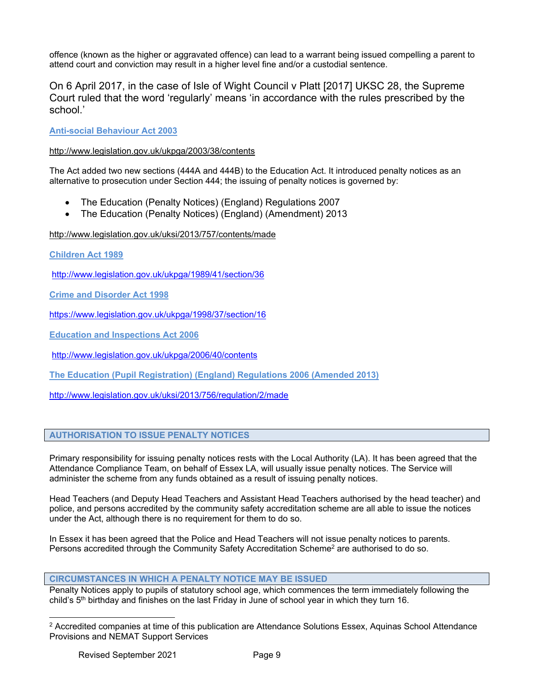offence (known as the higher or aggravated offence) can lead to a warrant being issued compelling a parent to attend court and conviction may result in a higher level fine and/or a custodial sentence.

#### On 6 April 2017, in the case of Isle of Wight Council v Platt [2017] UKSC 28, the Supreme Court ruled that the word 'regularly' means 'in accordance with the rules prescribed by the school.'

**Anti-social Behaviour Act 2003** 

#### http://www.legislation.gov.uk/ukpga/2003/38/contents

The Act added two new sections (444A and 444B) to the Education Act. It introduced penalty notices as an alternative to prosecution under Section 444; the issuing of penalty notices is governed by:

- The Education (Penalty Notices) (England) Regulations 2007
- The Education (Penalty Notices) (England) (Amendment) 2013

http://www.legislation.gov.uk/uksi/2013/757/contents/made

**Children Act 1989** 

http://www.legislation.gov.uk/ukpga/1989/41/section/36

**Crime and Disorder Act 1998** 

https://www.legislation.gov.uk/ukpga/1998/37/section/16

**Education and Inspections Act 2006** 

http://www.legislation.gov.uk/ukpga/2006/40/contents

**The Education (Pupil Registration) (England) Regulations 2006 (Amended 2013)** 

http://www.legislation.gov.uk/uksi/2013/756/regulation/2/made

#### **AUTHORISATION TO ISSUE PENALTY NOTICES**

Primary responsibility for issuing penalty notices rests with the Local Authority (LA). It has been agreed that the Attendance Compliance Team, on behalf of Essex LA, will usually issue penalty notices. The Service will administer the scheme from any funds obtained as a result of issuing penalty notices.

Head Teachers (and Deputy Head Teachers and Assistant Head Teachers authorised by the head teacher) and police, and persons accredited by the community safety accreditation scheme are all able to issue the notices under the Act, although there is no requirement for them to do so.

In Essex it has been agreed that the Police and Head Teachers will not issue penalty notices to parents. Persons accredited through the Community Safety Accreditation Scheme<sup>2</sup> are authorised to do so.

#### **CIRCUMSTANCES IN WHICH A PENALTY NOTICE MAY BE ISSUED**

Penalty Notices apply to pupils of statutory school age, which commences the term immediately following the child's 5<sup>th</sup> birthday and finishes on the last Friday in June of school year in which they turn 16.

<sup>&</sup>lt;sup>2</sup> Accredited companies at time of this publication are Attendance Solutions Essex, Aquinas School Attendance Provisions and NEMAT Support Services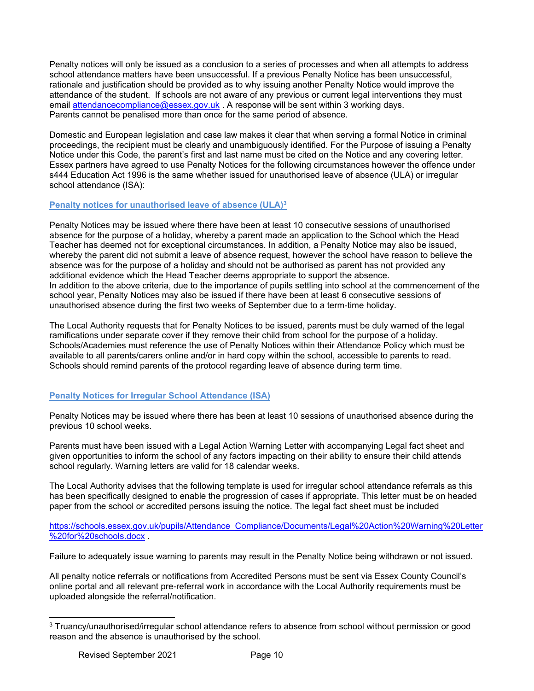Penalty notices will only be issued as a conclusion to a series of processes and when all attempts to address school attendance matters have been unsuccessful. If a previous Penalty Notice has been unsuccessful, rationale and justification should be provided as to why issuing another Penalty Notice would improve the attendance of the student. If schools are not aware of any previous or current legal interventions they must email attendancecompliance@essex.gov.uk . A response will be sent within 3 working days. Parents cannot be penalised more than once for the same period of absence.

Domestic and European legislation and case law makes it clear that when serving a formal Notice in criminal proceedings, the recipient must be clearly and unambiguously identified. For the Purpose of issuing a Penalty Notice under this Code, the parent's first and last name must be cited on the Notice and any covering letter. Essex partners have agreed to use Penalty Notices for the following circumstances however the offence under s444 Education Act 1996 is the same whether issued for unauthorised leave of absence (ULA) or irregular school attendance (ISA):

#### **Penalty notices for unauthorised leave of absence (ULA)3**

Penalty Notices may be issued where there have been at least 10 consecutive sessions of unauthorised absence for the purpose of a holiday, whereby a parent made an application to the School which the Head Teacher has deemed not for exceptional circumstances. In addition, a Penalty Notice may also be issued, whereby the parent did not submit a leave of absence request, however the school have reason to believe the absence was for the purpose of a holiday and should not be authorised as parent has not provided any additional evidence which the Head Teacher deems appropriate to support the absence. In addition to the above criteria, due to the importance of pupils settling into school at the commencement of the school year, Penalty Notices may also be issued if there have been at least 6 consecutive sessions of unauthorised absence during the first two weeks of September due to a term-time holiday.

The Local Authority requests that for Penalty Notices to be issued, parents must be duly warned of the legal ramifications under separate cover if they remove their child from school for the purpose of a holiday. Schools/Academies must reference the use of Penalty Notices within their Attendance Policy which must be available to all parents/carers online and/or in hard copy within the school, accessible to parents to read. Schools should remind parents of the protocol regarding leave of absence during term time.

#### **Penalty Notices for Irregular School Attendance (ISA)**

Penalty Notices may be issued where there has been at least 10 sessions of unauthorised absence during the previous 10 school weeks.

Parents must have been issued with a Legal Action Warning Letter with accompanying Legal fact sheet and given opportunities to inform the school of any factors impacting on their ability to ensure their child attends school regularly. Warning letters are valid for 18 calendar weeks.

The Local Authority advises that the following template is used for irregular school attendance referrals as this has been specifically designed to enable the progression of cases if appropriate. This letter must be on headed paper from the school or accredited persons issuing the notice. The legal fact sheet must be included

https://schools.essex.gov.uk/pupils/Attendance\_Compliance/Documents/Legal%20Action%20Warning%20Letter %20for%20schools.docx .

Failure to adequately issue warning to parents may result in the Penalty Notice being withdrawn or not issued.

All penalty notice referrals or notifications from Accredited Persons must be sent via Essex County Council's online portal and all relevant pre-referral work in accordance with the Local Authority requirements must be uploaded alongside the referral/notification.

<sup>3</sup> Truancy/unauthorised/irregular school attendance refers to absence from school without permission or good reason and the absence is unauthorised by the school.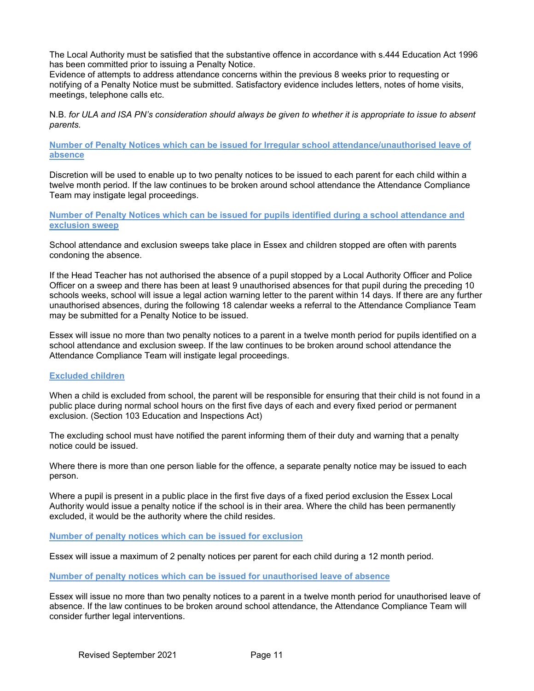The Local Authority must be satisfied that the substantive offence in accordance with s.444 Education Act 1996 has been committed prior to issuing a Penalty Notice.

Evidence of attempts to address attendance concerns within the previous 8 weeks prior to requesting or notifying of a Penalty Notice must be submitted. Satisfactory evidence includes letters, notes of home visits, meetings, telephone calls etc.

N.B. *for ULA and ISA PN's consideration should always be given to whether it is appropriate to issue to absent parents.* 

**Number of Penalty Notices which can be issued for Irregular school attendance/unauthorised leave of absence** 

Discretion will be used to enable up to two penalty notices to be issued to each parent for each child within a twelve month period. If the law continues to be broken around school attendance the Attendance Compliance Team may instigate legal proceedings.

**Number of Penalty Notices which can be issued for pupils identified during a school attendance and exclusion sweep** 

School attendance and exclusion sweeps take place in Essex and children stopped are often with parents condoning the absence.

If the Head Teacher has not authorised the absence of a pupil stopped by a Local Authority Officer and Police Officer on a sweep and there has been at least 9 unauthorised absences for that pupil during the preceding 10 schools weeks, school will issue a legal action warning letter to the parent within 14 days. If there are any further unauthorised absences, during the following 18 calendar weeks a referral to the Attendance Compliance Team may be submitted for a Penalty Notice to be issued.

Essex will issue no more than two penalty notices to a parent in a twelve month period for pupils identified on a school attendance and exclusion sweep. If the law continues to be broken around school attendance the Attendance Compliance Team will instigate legal proceedings.

#### **Excluded children**

When a child is excluded from school, the parent will be responsible for ensuring that their child is not found in a public place during normal school hours on the first five days of each and every fixed period or permanent exclusion. (Section 103 Education and Inspections Act)

The excluding school must have notified the parent informing them of their duty and warning that a penalty notice could be issued.

Where there is more than one person liable for the offence, a separate penalty notice may be issued to each person.

Where a pupil is present in a public place in the first five days of a fixed period exclusion the Essex Local Authority would issue a penalty notice if the school is in their area. Where the child has been permanently excluded, it would be the authority where the child resides.

**Number of penalty notices which can be issued for exclusion** 

Essex will issue a maximum of 2 penalty notices per parent for each child during a 12 month period.

**Number of penalty notices which can be issued for unauthorised leave of absence** 

Essex will issue no more than two penalty notices to a parent in a twelve month period for unauthorised leave of absence. If the law continues to be broken around school attendance, the Attendance Compliance Team will consider further legal interventions.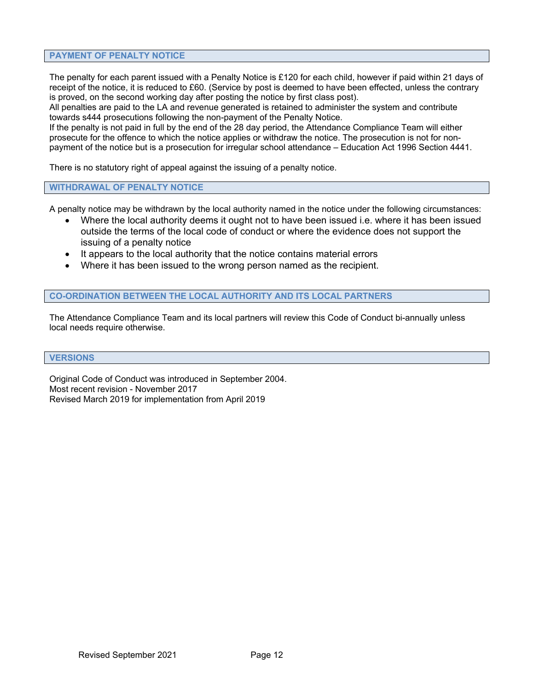#### **PAYMENT OF PENALTY NOTICE**

The penalty for each parent issued with a Penalty Notice is £120 for each child, however if paid within 21 days of receipt of the notice, it is reduced to £60. (Service by post is deemed to have been effected, unless the contrary is proved, on the second working day after posting the notice by first class post).

All penalties are paid to the LA and revenue generated is retained to administer the system and contribute towards s444 prosecutions following the non-payment of the Penalty Notice.

If the penalty is not paid in full by the end of the 28 day period, the Attendance Compliance Team will either prosecute for the offence to which the notice applies or withdraw the notice. The prosecution is not for nonpayment of the notice but is a prosecution for irregular school attendance – Education Act 1996 Section 4441.

There is no statutory right of appeal against the issuing of a penalty notice.

#### **WITHDRAWAL OF PENALTY NOTICE**

A penalty notice may be withdrawn by the local authority named in the notice under the following circumstances:

- Where the local authority deems it ought not to have been issued i.e. where it has been issued outside the terms of the local code of conduct or where the evidence does not support the issuing of a penalty notice
- It appears to the local authority that the notice contains material errors
- Where it has been issued to the wrong person named as the recipient.

#### **CO-ORDINATION BETWEEN THE LOCAL AUTHORITY AND ITS LOCAL PARTNERS**

The Attendance Compliance Team and its local partners will review this Code of Conduct bi-annually unless local needs require otherwise.

#### **VERSIONS**

Original Code of Conduct was introduced in September 2004. Most recent revision - November 2017 Revised March 2019 for implementation from April 2019